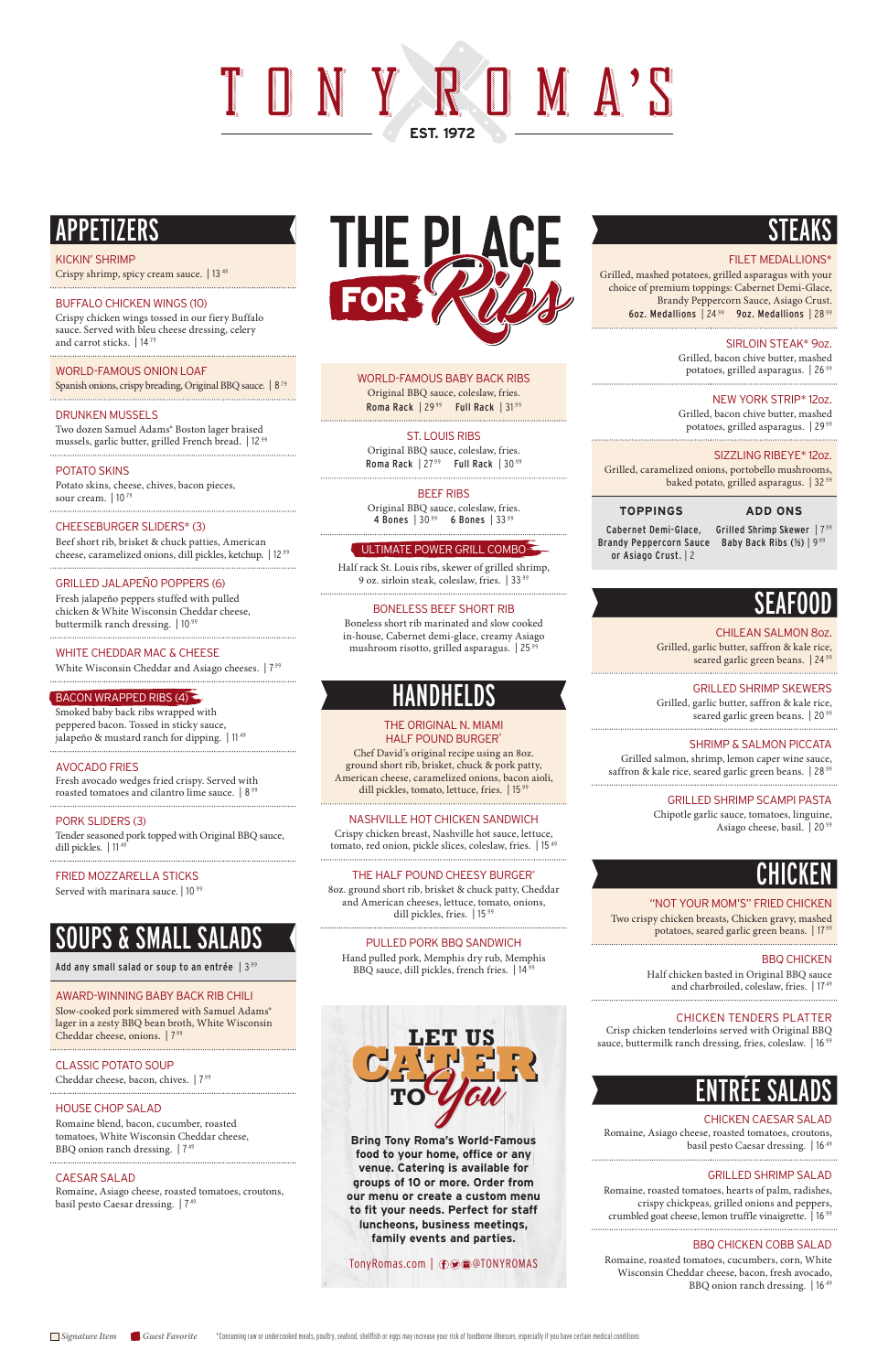# TONY A ST **EST. 1972**

WORLD-FAMOUS BABY BACK RIBS Original BBQ sauce, coleslaw, fries. Roma Rack | 29.99 Full Rack | 31.99

Original BBQ sauce, coleslaw, fries. Roma Rack | 27.99 Full Rack | 30.99

Original BBQ sauce, coleslaw, fries. 4 Bones | 30.99 6 Bones | 33.99

#### ST. LOUIS RIBS

#### BEEF RIBS

#### ULTIMATE POWER GRILL COMBO

Crispy chicken breast, Nashville hot sauce, lettuce, tomato, red onion, pickle slices, coleslaw, fries. | 15.49

Half rack St. Louis ribs, skewer of grilled shrimp, 9 oz. sirloin steak, coleslaw, fries. | 33.99

#### BONELESS BEEF SHORT RIB

Boneless short rib marinated and slow cooked in-house, Cabernet demi-glace, creamy Asiago mushroom risotto, grilled asparagus. | 25.99

### **HANDHELDS**

#### THE ORIGINAL N. MIAMI HALF POUND BURGER\*

Chef David's original recipe using an 8oz. ground short rib, brisket, chuck & pork patty, American cheese, caramelized onions, bacon aioli, dill pickles, tomato, lettuce, fries. | 15.99

#### NASHVILLE HOT CHICKEN SANDWICH

Grilled, garlic butter, saffron & kale rice, seared garlic green beans. | 24.99

Grilled, garlic butter, saffron & kale rice, seared garlic green beans. | 20<sup>.99</sup>

Grilled salmon, shrimp, lemon caper wine sauce, saffron & kale rice, seared garlic green beans. | 28.99

#### THE HALF POUND CHEESY BURGER\*

8oz. ground short rib, brisket & chuck patty, Cheddar and American cheeses, lettuce, tomato, onions, dill pickles, fries. | 15.99

#### PULLED PORK BBQ SANDWICH

Hand pulled pork, Memphis dry rub, Memphis BBQ sauce, dill pickles, french fries. | 14.99

### **STEAKS**

#### **FILET MEDALLIONS\***

Crisp chicken tenderloins served with Original BBQ sauce, buttermilk ranch dressing, fries, coleslaw. | 16.99

Romaine, roasted tomatoes, hearts of palm, radishes, crispy chickpeas, grilled onions and peppers, crumbled goat cheese, lemon truffle vinaigrette. | 16.99

Grilled, mashed potatoes, grilled asparagus with your choice of premium toppings: Cabernet Demi-Glace, Brandy Peppercorn Sauce, Asiago Crust. 6oz. Medallions | 24.99 9oz. Medallions | 28.99

#### SIRLOIN STEAK\* 9oz.

Grilled, bacon chive butter, mashed potatoes, grilled asparagus. | 26.99

#### NEW YORK STRIP\* 12oz.

Grilled, bacon chive butter, mashed potatoes, grilled asparagus. | 29.99

SIZZLING RIBEYE\* 12oz.

Potato skins, cheese, chives, bacon pieces, sour cream. | 10<sup>.79</sup>

Grilled, caramelized onions, portobello mushrooms, baked potato, grilled asparagus. | 32.99

### **TOPPINGS ADD ONS**

Cabernet Demi-Glace, Grilled Shrimp Skewer | 7.99 Brandy Peppercorn Sauce Baby Back Ribs (½) | 9.99 or Asiago Crust. | 2

Fresh jalapeño peppers stuffed with pulled chicken & White Wisconsin Cheddar cheese, buttermilk ranch dressing. | 10.99

### SEAFOOD

#### CHILEAN SALMON 8oz.

#### GRILLED SHRIMP SKEWERS

Tender seasoned pork topped with Original BBQ sauce, dill pickles. | 11<sup>.49</sup>

#### SHRIMP & SALMON PICCATA

Slow-cooked pork simmered with Samuel Adams® lager in a zesty BBQ bean broth, White Wisconsin Cheddar cheese, onions. | 7.99

#### GRILLED SHRIMP SCAMPI PASTA

Chipotle garlic sauce, tomatoes, linguine, Asiago cheese, basil. | 20.99

### CHICKEN

#### "NOT YOUR MOM'S" FRIED CHICKEN

Two crispy chicken breasts, Chicken gravy, mashed potatoes, seared garlic green beans. | 17.99

#### BBQ CHICKEN

Half chicken basted in Original BBQ sauce and charbroiled, coleslaw, fries. | 17.49

#### CHICKEN TENDERS PLATTER

### ENTRÉE SALADS

#### CHICKEN CAESAR SALAD

Romaine, Asiago cheese, roasted tomatoes, croutons, basil pesto Caesar dressing. | 16.49

#### GRILLED SHRIMP SALAD

#### BBQ CHICKEN COBB SALAD

Romaine, roasted tomatoes, cucumbers, corn, White Wisconsin Cheddar cheese, bacon, fresh avocado, BBQ onion ranch dressing. | 16.49

### APPETIZERS

#### KICKIN' SHRIMP

Crispy shrimp, spicy cream sauce. | 13.49

BUFFALO CHICKEN WINGS (10) Crispy chicken wings tossed in our fiery Buffalo sauce. Served with bleu cheese dressing, celery and carrot sticks. | 14.79

#### WORLD-FAMOUS ONION LOAF

Spanish onions, crispy breading, Original BBQ sauce. | 8<sup>.79</sup>

#### DRUNKEN MUSSELS

Two dozen Samuel Adams® Boston lager braised mussels, garlic butter, grilled French bread. | 12.99

#### POTATO SKINS

#### CHEESEBURGER SLIDERS\* (3)

Beef short rib, brisket & chuck patties, American cheese, caramelized onions, dill pickles, ketchup. | 12.99

#### GRILLED JALAPEÑO POPPERS (6)

#### WHITE CHEDDAR MAC & CHEESE

White Wisconsin Cheddar and Asiago cheeses. |  $7\frac{99}{1}$ 

#### $\mathsf{\mathsf{\mathsf{BACON}}}\nolimits$  MRAPPED RIBS (4)  $\mathsf{\mathsf{\mathsf{\mathsf{A}}}}$

Smoked baby back ribs wrapped with peppered bacon. Tossed in sticky sauce, jalapeño & mustard ranch for dipping. | 11.49 

#### AVOCADO FRIES

Fresh avocado wedges fried crispy. Served with roasted tomatoes and cilantro lime sauce. | 8.99 

#### PORK SLIDERS (3)

#### FRIED MOZZARELLA STICKS

Served with marinara sauce. | 10.99

## SOUPS & SMALL SALADS

Add any small salad or soup to an entrée  $\mid$  3.99

### AWARD-WINNING BABY BACK RIB CHILI



CLASSIC POTATO SOUP

Cheddar cheese, bacon, chives. | 7.99

#### HOUSE CHOP SALAD

Romaine blend, bacon, cucumber, roasted tomatoes, White Wisconsin Cheddar cheese, BBQ onion ranch dressing. | 7.49

#### CAESAR SALAD

Romaine, Asiago cheese, roasted tomatoes, croutons, basil pesto Caesar dressing. | 7.49

**Bring Tony Roma's World-Famous food to your home, office or any venue. Catering is available for groups of 10 or more. Order from our menu or create a custom menu to fit your needs. Perfect for staff luncheons, business meetings, family events and parties.** 

TonyRomas.com | **①**●■TONYROMAS